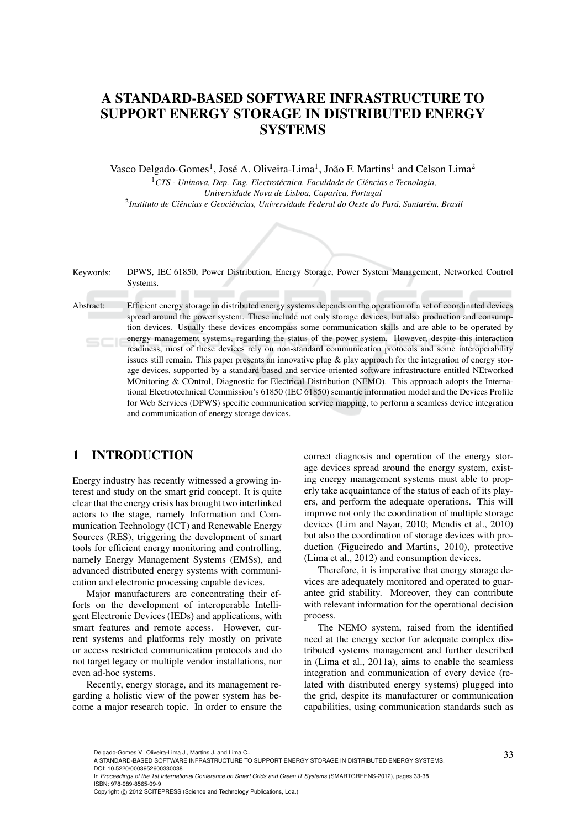## A STANDARD-BASED SOFTWARE INFRASTRUCTURE TO SUPPORT ENERGY STORAGE IN DISTRIBUTED ENERGY **SYSTEMS**

Vasco Delgado-Gomes<sup>1</sup>, José A. Oliveira-Lima<sup>1</sup>, João F. Martins<sup>1</sup> and Celson Lima<sup>2</sup>

<sup>1</sup>CTS - Uninova, Dep. Eng. Electrotécnica, Faculdade de Ciências e Tecnologia, *Universidade Nova de Lisboa, Caparica, Portugal*  $^2$ Instituto de Ciências e Geociências, Universidade Federal do Oeste do Pará, Santarém, Brasil



## 1 INTRODUCTION

Energy industry has recently witnessed a growing interest and study on the smart grid concept. It is quite clear that the energy crisis has brought two interlinked actors to the stage, namely Information and Communication Technology (ICT) and Renewable Energy Sources (RES), triggering the development of smart tools for efficient energy monitoring and controlling, namely Energy Management Systems (EMSs), and advanced distributed energy systems with communication and electronic processing capable devices.

Major manufacturers are concentrating their efforts on the development of interoperable Intelligent Electronic Devices (IEDs) and applications, with smart features and remote access. However, current systems and platforms rely mostly on private or access restricted communication protocols and do not target legacy or multiple vendor installations, nor even ad-hoc systems.

Recently, energy storage, and its management regarding a holistic view of the power system has become a major research topic. In order to ensure the correct diagnosis and operation of the energy storage devices spread around the energy system, existing energy management systems must able to properly take acquaintance of the status of each of its players, and perform the adequate operations. This will improve not only the coordination of multiple storage devices (Lim and Nayar, 2010; Mendis et al., 2010) but also the coordination of storage devices with production (Figueiredo and Martins, 2010), protective (Lima et al., 2012) and consumption devices.

Therefore, it is imperative that energy storage devices are adequately monitored and operated to guarantee grid stability. Moreover, they can contribute with relevant information for the operational decision process.

The NEMO system, raised from the identified need at the energy sector for adequate complex distributed systems management and further described in (Lima et al., 2011a), aims to enable the seamless integration and communication of every device (related with distributed energy systems) plugged into the grid, despite its manufacturer or communication capabilities, using communication standards such as

In *Proceedings of the 1st International Conference on Smart Grids and Green IT Systems* (SMARTGREENS-2012), pages 33-38 ISBN: 978-989-8565-09-9

Copyright © 2012 SCITEPRESS (Science and Technology Publications, Lda.)

<sup>33</sup> Delgado-Gomes V., Oliveira-Lima J., Martins J. and Lima C.. A STANDARD-BASED SOFTWARE INFRASTRUCTURE TO SUPPORT ENERGY STORAGE IN DISTRIBUTED ENERGY SYSTEMS. DOI: 10.5220/0003952600330038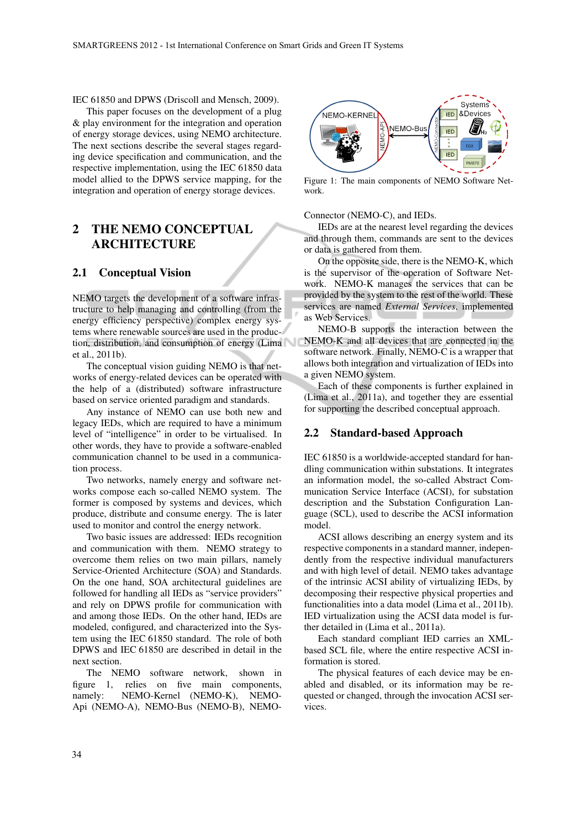IEC 61850 and DPWS (Driscoll and Mensch, 2009).

This paper focuses on the development of a plug & play environment for the integration and operation of energy storage devices, using NEMO architecture. The next sections describe the several stages regarding device specification and communication, and the respective implementation, using the IEC 61850 data model allied to the DPWS service mapping, for the integration and operation of energy storage devices.

## 2 THE NEMO CONCEPTUAL ARCHITECTURE

### 2.1 Conceptual Vision

NEMO targets the development of a software infrastructure to help managing and controlling (from the energy efficiency perspective) complex energy systems where renewable sources are used in the production, distribution, and consumption of energy (Lima et al., 2011b).

The conceptual vision guiding NEMO is that networks of energy-related devices can be operated with the help of a (distributed) software infrastructure based on service oriented paradigm and standards.

Any instance of NEMO can use both new and legacy IEDs, which are required to have a minimum level of "intelligence" in order to be virtualised. In other words, they have to provide a software-enabled communication channel to be used in a communication process.

Two networks, namely energy and software networks compose each so-called NEMO system. The former is composed by systems and devices, which produce, distribute and consume energy. The is later used to monitor and control the energy network.

Two basic issues are addressed: IEDs recognition and communication with them. NEMO strategy to overcome them relies on two main pillars, namely Service-Oriented Architecture (SOA) and Standards. On the one hand, SOA architectural guidelines are followed for handling all IEDs as "service providers" and rely on DPWS profile for communication with and among those IEDs. On the other hand, IEDs are modeled, configured, and characterized into the System using the IEC 61850 standard. The role of both DPWS and IEC 61850 are described in detail in the next section.

The NEMO software network, shown in figure 1, relies on five main components, namely: NEMO-Kernel (NEMO-K), NEMO-Api (NEMO-A), NEMO-Bus (NEMO-B), NEMO-



Figure 1: The main components of NEMO Software Network.

#### Connector (NEMO-C), and IEDs.

IEDs are at the nearest level regarding the devices and through them, commands are sent to the devices or data is gathered from them.

On the opposite side, there is the NEMO-K, which is the supervisor of the operation of Software Network. NEMO-K manages the services that can be provided by the system to the rest of the world. These services are named *External Services*, implemented as Web Services.

NEMO-B supports the interaction between the NEMO-K and all devices that are connected in the software network. Finally, NEMO-C is a wrapper that allows both integration and virtualization of IEDs into a given NEMO system.

Each of these components is further explained in (Lima et al., 2011a), and together they are essential for supporting the described conceptual approach.

#### 2.2 Standard-based Approach

IEC 61850 is a worldwide-accepted standard for handling communication within substations. It integrates an information model, the so-called Abstract Communication Service Interface (ACSI), for substation description and the Substation Configuration Language (SCL), used to describe the ACSI information model.

ACSI allows describing an energy system and its respective components in a standard manner, independently from the respective individual manufacturers and with high level of detail. NEMO takes advantage of the intrinsic ACSI ability of virtualizing IEDs, by decomposing their respective physical properties and functionalities into a data model (Lima et al., 2011b). IED virtualization using the ACSI data model is further detailed in (Lima et al., 2011a).

Each standard compliant IED carries an XMLbased SCL file, where the entire respective ACSI information is stored.

The physical features of each device may be enabled and disabled, or its information may be requested or changed, through the invocation ACSI services.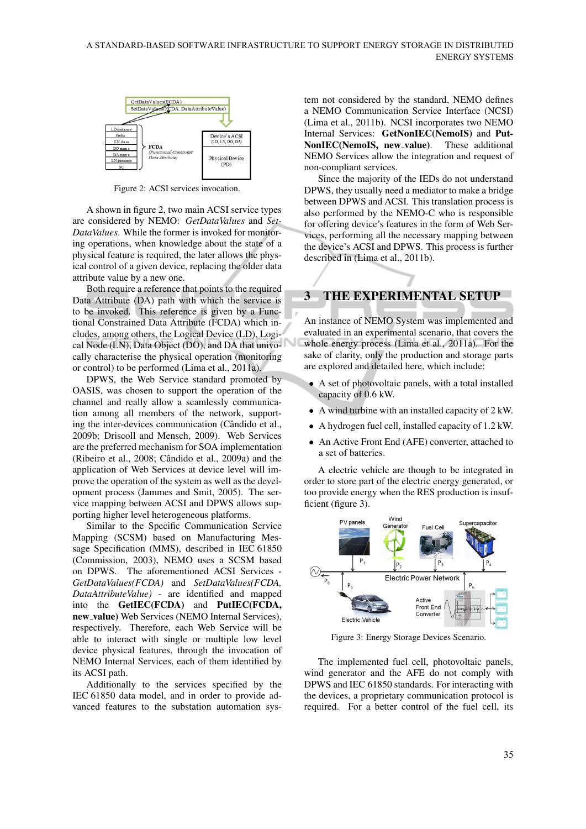

Figure 2: ACSI services invocation.

A shown in figure 2, two main ACSI service types are considered by NEMO: *GetDataValues* and *Set-DataValues*. While the former is invoked for monitoring operations, when knowledge about the state of a physical feature is required, the later allows the physical control of a given device, replacing the older data attribute value by a new one.

Both require a reference that points to the required Data Attribute (DA) path with which the service is to be invoked. This reference is given by a Functional Constrained Data Attribute (FCDA) which includes, among others, the Logical Device (LD), Logical Node (LN), Data Object (DO), and DA that univocally characterise the physical operation (monitoring or control) to be performed (Lima et al., 2011a).

DPWS, the Web Service standard promoted by OASIS, was chosen to support the operation of the channel and really allow a seamlessly communication among all members of the network, supporting the inter-devices communication (Cândido et al., 2009b; Driscoll and Mensch, 2009). Web Services are the preferred mechanism for SOA implementation (Ribeiro et al.,  $2008$ ; Cândido et al.,  $2009a$ ) and the application of Web Services at device level will improve the operation of the system as well as the development process (Jammes and Smit, 2005). The service mapping between ACSI and DPWS allows supporting higher level heterogeneous platforms.

Similar to the Specific Communication Service Mapping (SCSM) based on Manufacturing Message Specification (MMS), described in IEC 61850 (Commission, 2003), NEMO uses a SCSM based on DPWS. The aforementioned ACSI Services - *GetDataValues(FCDA)* and *SetDataValues(FCDA, DataAttributeValue)* - are identified and mapped into the GetIEC(FCDA) and PutIEC(FCDA, new\_value) Web Services (NEMO Internal Services), respectively. Therefore, each Web Service will be able to interact with single or multiple low level device physical features, through the invocation of NEMO Internal Services, each of them identified by its ACSI path.

Additionally to the services specified by the IEC 61850 data model, and in order to provide advanced features to the substation automation system not considered by the standard, NEMO defines a NEMO Communication Service Interface (NCSI) (Lima et al., 2011b). NCSI incorporates two NEMO Internal Services: GetNonIEC(NemoIS) and Put-NonIEC(NemoIS, new\_value). These additional NEMO Services allow the integration and request of non-compliant services.

Since the majority of the IEDs do not understand DPWS, they usually need a mediator to make a bridge between DPWS and ACSI. This translation process is also performed by the NEMO-C who is responsible for offering device's features in the form of Web Services, performing all the necessary mapping between the device's ACSI and DPWS. This process is further described in (Lima et al., 2011b).

# 3 THE EXPERIMENTAL SETUP

An instance of NEMO System was implemented and evaluated in an experimental scenario, that covers the whole energy process (Lima et al., 2011a). For the sake of clarity, only the production and storage parts are explored and detailed here, which include:

- A set of photovoltaic panels, with a total installed capacity of 0.6 kW.
- A wind turbine with an installed capacity of 2 kW.
- A hydrogen fuel cell, installed capacity of 1.2 kW.
- An Active Front End (AFE) converter, attached to a set of batteries.

A electric vehicle are though to be integrated in order to store part of the electric energy generated, or too provide energy when the RES production is insufficient (figure 3).



Figure 3: Energy Storage Devices Scenario.

The implemented fuel cell, photovoltaic panels, wind generator and the AFE do not comply with DPWS and IEC 61850 standards. For interacting with the devices, a proprietary communication protocol is required. For a better control of the fuel cell, its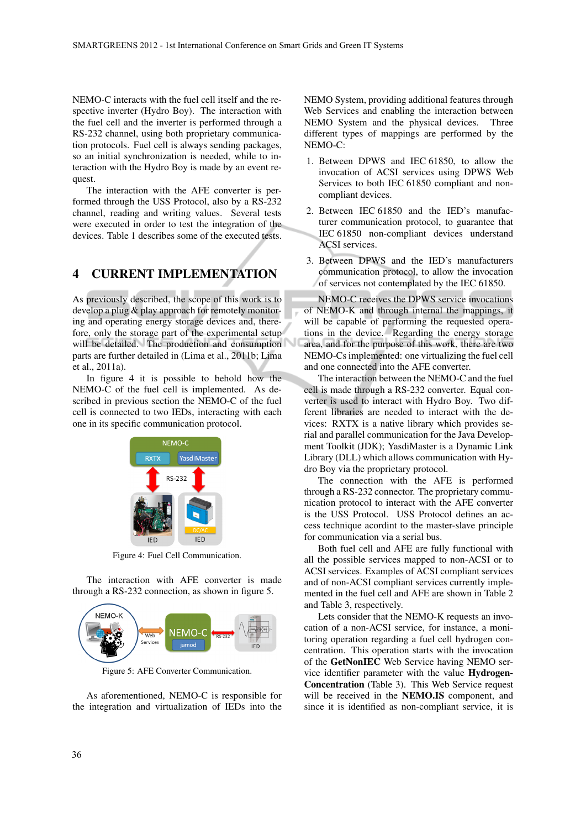◡

NEMO-C interacts with the fuel cell itself and the respective inverter (Hydro Boy). The interaction with the fuel cell and the inverter is performed through a RS-232 channel, using both proprietary communication protocols. Fuel cell is always sending packages, so an initial synchronization is needed, while to interaction with the Hydro Boy is made by an event request.

The interaction with the AFE converter is performed through the USS Protocol, also by a RS-232 channel, reading and writing values. Several tests were executed in order to test the integration of the devices. Table 1 describes some of the executed tests.

## 4 CURRENT IMPLEMENTATION

As previously described, the scope of this work is to develop a plug & play approach for remotely monitoring and operating energy storage devices and, therefore, only the storage part of the experimental setup will be detailed. The production and consumption parts are further detailed in (Lima et al., 2011b; Lima et al., 2011a).

In figure 4 it is possible to behold how the NEMO-C of the fuel cell is implemented. As described in previous section the NEMO-C of the fuel cell is connected to two IEDs, interacting with each one in its specific communication protocol.



Figure 4: Fuel Cell Communication.

The interaction with AFE converter is made through a RS-232 connection, as shown in figure 5.



Figure 5: AFE Converter Communication.

As aforementioned, NEMO-C is responsible for the integration and virtualization of IEDs into the NEMO System, providing additional features through Web Services and enabling the interaction between NEMO System and the physical devices. Three different types of mappings are performed by the NEMO-C:

- 1. Between DPWS and IEC 61850, to allow the invocation of ACSI services using DPWS Web Services to both IEC 61850 compliant and noncompliant devices.
- 2. Between IEC 61850 and the IED's manufacturer communication protocol, to guarantee that IEC 61850 non-compliant devices understand ACSI services.
- 3. Between DPWS and the IED's manufacturers communication protocol, to allow the invocation of services not contemplated by the IEC 61850.

NEMO-C receives the DPWS service invocations of NEMO-K and through internal the mappings, it will be capable of performing the requested operations in the device. Regarding the energy storage area, and for the purpose of this work, there are two NEMO-Cs implemented: one virtualizing the fuel cell and one connected into the AFE converter.

The interaction between the NEMO-C and the fuel cell is made through a RS-232 converter. Equal converter is used to interact with Hydro Boy. Two different libraries are needed to interact with the devices: RXTX is a native library which provides serial and parallel communication for the Java Development Toolkit (JDK); YasdiMaster is a Dynamic Link Library (DLL) which allows communication with Hydro Boy via the proprietary protocol.

The connection with the AFE is performed through a RS-232 connector. The proprietary communication protocol to interact with the AFE converter is the USS Protocol. USS Protocol defines an access technique acordint to the master-slave principle for communication via a serial bus.

Both fuel cell and AFE are fully functional with all the possible services mapped to non-ACSI or to ACSI services. Examples of ACSI compliant services and of non-ACSI compliant services currently implemented in the fuel cell and AFE are shown in Table 2 and Table 3, respectively.

Lets consider that the NEMO-K requests an invocation of a non-ACSI service, for instance, a monitoring operation regarding a fuel cell hydrogen concentration. This operation starts with the invocation of the GetNonIEC Web Service having NEMO service identifier parameter with the value Hydrogen-Concentration (Table 3). This Web Service request will be received in the NEMO.IS component, and since it is identified as non-compliant service, it is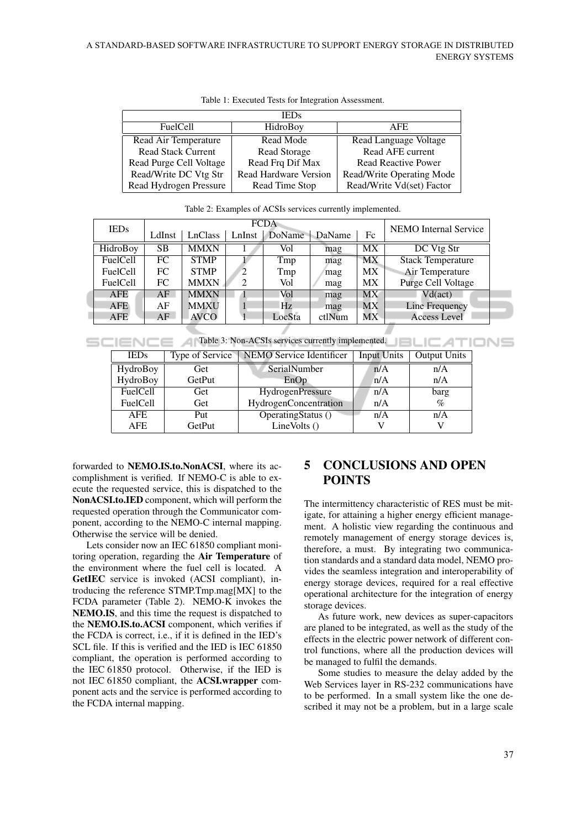| <b>IEDs</b>               |                              |                            |  |  |  |  |  |
|---------------------------|------------------------------|----------------------------|--|--|--|--|--|
| <b>FuelCell</b>           | HidroBoy                     | AFE.                       |  |  |  |  |  |
| Read Air Temperature      | Read Mode                    | Read Language Voltage      |  |  |  |  |  |
| <b>Read Stack Current</b> | Read Storage                 | Read AFE current           |  |  |  |  |  |
| Read Purge Cell Voltage   | Read Frq Dif Max             | <b>Read Reactive Power</b> |  |  |  |  |  |
| Read/Write DC Vtg Str     | <b>Read Hardware Version</b> | Read/Write Operating Mode  |  |  |  |  |  |
| Read Hydrogen Pressure    | Read Time Stop               | Read/Write Vd(set) Factor  |  |  |  |  |  |

Table 1: Executed Tests for Integration Assessment.

| <b>IEDs</b>     | <b>FCDA</b> |             |        |        |        | <b>NEMO</b> Internal Service |                          |  |
|-----------------|-------------|-------------|--------|--------|--------|------------------------------|--------------------------|--|
|                 | LdInst      | LnClass     | LnInst | DoName | DaName | Fc                           |                          |  |
| HidroBoy        | <b>SB</b>   | <b>MMXN</b> |        | Vol    | mag    | <b>MX</b>                    | DC Vtg Str               |  |
| <b>FuelCell</b> | FC          | <b>STMP</b> |        | Tmp    | mag    | MX                           | <b>Stack Temperature</b> |  |
| <b>FuelCell</b> | FC          | <b>STMP</b> | 2      | Tmp    | mag    | MX                           | Air Temperature          |  |
| <b>FuelCell</b> | FC.         | <b>MMXN</b> | 2      | Vol    | mag    | MX.                          | Purge Cell Voltage       |  |
| <b>AFE</b>      | AF          | <b>MMXN</b> |        | Vol    | mag    | <b>MX</b>                    | $Vd(\text{act})$         |  |
| <b>AFE</b>      | AF          | <b>MMXU</b> |        | Hz     | mag    | <b>MX</b>                    | Line Frequency           |  |
| <b>AFE</b>      | AF          | <b>AVCO</b> |        | LocSta | ctlNum | МX                           | <b>Access Level</b>      |  |

Table 2: Examples of ACSIs services currently implemented.

Table 3: Non-ACSIs services currently implemented.

| <b>IEDs</b>     |        | Type of Service   NEMO Service Identificer | <b>Input Units</b> | <b>Output Units</b> |
|-----------------|--------|--------------------------------------------|--------------------|---------------------|
| HydroBoy        | Get    | SerialNumber                               | n/A                | n/A                 |
| HydroBoy        | GetPut | EnOp                                       | n/A                | n/A                 |
| FuelCell        | Get    | HydrogenPressure                           | n/A                | barg                |
| <b>FuelCell</b> | Get    | HydrogenConcentration                      | n/A                | $\%$                |
| <b>AFE</b>      | Put    | OperatingStatus $()$                       | n/A                | n/A                 |
| AFE             | GetPut | LineVolts ()                               |                    |                     |

forwarded to NEMO.IS.to.NonACSI, where its accomplishment is verified. If NEMO-C is able to execute the requested service, this is dispatched to the NonACSI.to.IED component, which will perform the requested operation through the Communicator component, according to the NEMO-C internal mapping. Otherwise the service will be denied.

Lets consider now an IEC 61850 compliant monitoring operation, regarding the Air Temperature of the environment where the fuel cell is located. A GetIEC service is invoked (ACSI compliant), introducing the reference STMP.Tmp.mag[MX] to the FCDA parameter (Table 2). NEMO-K invokes the NEMO.IS, and this time the request is dispatched to the NEMO.IS.to.ACSI component, which verifies if the FCDA is correct, i.e., if it is defined in the IED's SCL file. If this is verified and the IED is IEC 61850 compliant, the operation is performed according to the IEC 61850 protocol. Otherwise, if the IED is not IEC 61850 compliant, the ACSI.wrapper component acts and the service is performed according to the FCDA internal mapping.

## 5 CONCLUSIONS AND OPEN POINTS

**JBLIC ATIONS** 

The intermittency characteristic of RES must be mitigate, for attaining a higher energy efficient management. A holistic view regarding the continuous and remotely management of energy storage devices is, therefore, a must. By integrating two communication standards and a standard data model, NEMO provides the seamless integration and interoperability of energy storage devices, required for a real effective operational architecture for the integration of energy storage devices.

As future work, new devices as super-capacitors are planed to be integrated, as well as the study of the effects in the electric power network of different control functions, where all the production devices will be managed to fulfil the demands.

Some studies to measure the delay added by the Web Services layer in RS-232 communications have to be performed. In a small system like the one described it may not be a problem, but in a large scale